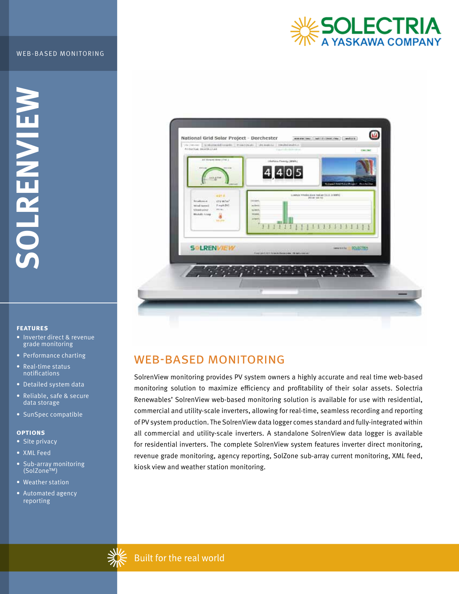### WEB-BASED MONITORING



**SOLRENVIEW MENAIE** 

## **features**

- Inverter direct & revenue grade monitoring
- Performance charting
- Real-time status notifications
- Detailed system data
- Reliable, safe & secure data storage
- SunSpec compatible

## **options**

- Site privacy
- XML Feed
- Sub-array monitoring (SolZone™)
- Weather station
- Automated agency reporting



# WEB-BASED MONITORING

SolrenView monitoring provides PV system owners a highly accurate and real time web-based monitoring solution to maximize efficiency and profitability of their solar assets. Solectria Renewables' SolrenView web-based monitoring solution is available for use with residential, commercial and utility-scale inverters, allowing for real-time, seamless recording and reporting of PV system production. The SolrenView data logger comes standard and fully-integrated within all commercial and utility-scale inverters. A standalone SolrenView data logger is available for residential inverters. The complete SolrenView system features inverter direct monitoring, revenue grade monitoring, agency reporting, SolZone sub-array current monitoring, XML feed, kiosk view and weather station monitoring.